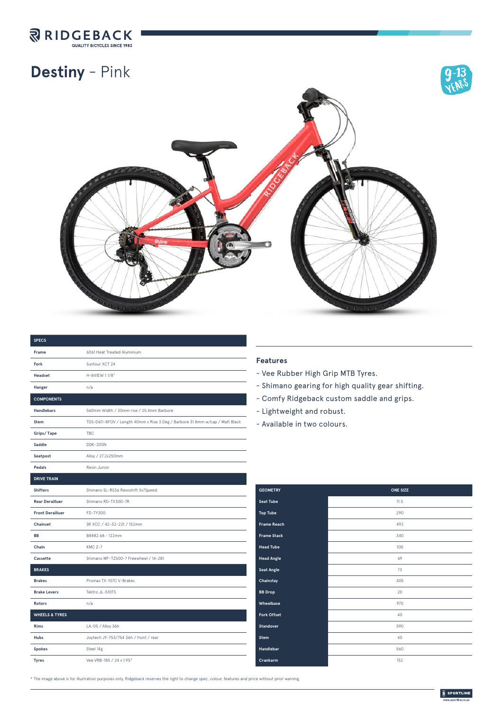

## **Destiny** - Pink



| <b>SPECS</b>              |                                                                              |
|---------------------------|------------------------------------------------------------------------------|
| Frame                     | 6061 Heat Treated Aluminium                                                  |
| Fork                      | Suntour XCT 24                                                               |
| <b>Headset</b>            | H-841EW 11/8"                                                                |
| Hanger                    | n/a                                                                          |
| <b>COMPONENTS</b>         |                                                                              |
| <b>Handlebars</b>         | 560mm Width / 30mm rise / 25.4mm Barbore                                     |
| <b>Stem</b>               | TDS-D611-8FOV / Length 40mm x Rise 3 Deg / Barbore 31.8mm w/cap / Matt Black |
| Grips/Tape                | <b>TBC</b>                                                                   |
| Saddle                    | <b>DDK-200N</b>                                                              |
| Seatpost                  | Alloy / 27.2x250mm                                                           |
| Pedals                    | Resin Junior                                                                 |
| <b>DRIVE TRAIN</b>        |                                                                              |
| <b>Shifters</b>           | Shimano SL-RS36 Revoshift 3x7Speed                                           |
| <b>Rear Derailluer</b>    | Shimano RD-TX300-7R                                                          |
| <b>Front Derailluer</b>   | FD-TY300                                                                     |
| Chainset                  | SR XCC / 42-32-22t / 152mm                                                   |
| <b>BB</b>                 | B8882 68 - 122mm                                                             |
| Chain                     | KMC Z-7                                                                      |
| Cassette                  | Shimano MF-TZ500-7 Freewheel / 14-28t                                        |
| <b>BRAKES</b>             |                                                                              |
| <b>Brakes</b>             | Promax TX-107C V-Brakes                                                      |
| <b>Brake Levers</b>       | Tektro JL-510TS                                                              |
| <b>Rotors</b>             | n/a                                                                          |
| <b>WHEELS &amp; TYRES</b> |                                                                              |
| <b>Rims</b>               | LA-05 / Alloy 36h                                                            |
| Hubs                      | Joytech JY-753/754 36h / front / rear                                        |
| <b>Spokes</b>             | Steel 14g                                                                    |
| <b>Tyres</b>              | Vee VRB-185 / 24 x 1.95"                                                     |

## **Features**

- Vee Rubber High Grip MTB Tyres.
- Shimano gearing for high quality gear shifting.
- Comfy Ridgeback custom saddle and grips.
- Lightweight and robust.
- Available in two colours.

| <b>GEOMETRY</b>    | <b>ONE SIZE</b> |
|--------------------|-----------------|
| <b>Seat Tube</b>   | 11.5            |
| <b>Top Tube</b>    | 290             |
| <b>Frame Reach</b> | 492             |
| <b>Frame Stack</b> | 340             |
| <b>Head Tube</b>   | 100             |
| <b>Head Angle</b>  | 69              |
| <b>Seat Angle</b>  | 73              |
| Chainstay          | 405             |
| <b>BB</b> Drop     | 20              |
| Wheelbase          | 970             |
| <b>Fork Offset</b> | 40              |
| Standover          | 590             |
| <b>Stem</b>        | 40              |
| Handlebar          | 560             |
| Crankarm           | 152             |

\* The image above is for illustration purposes only. Ridgeback reserves the right to change spec, colour, features and price without prior warning.